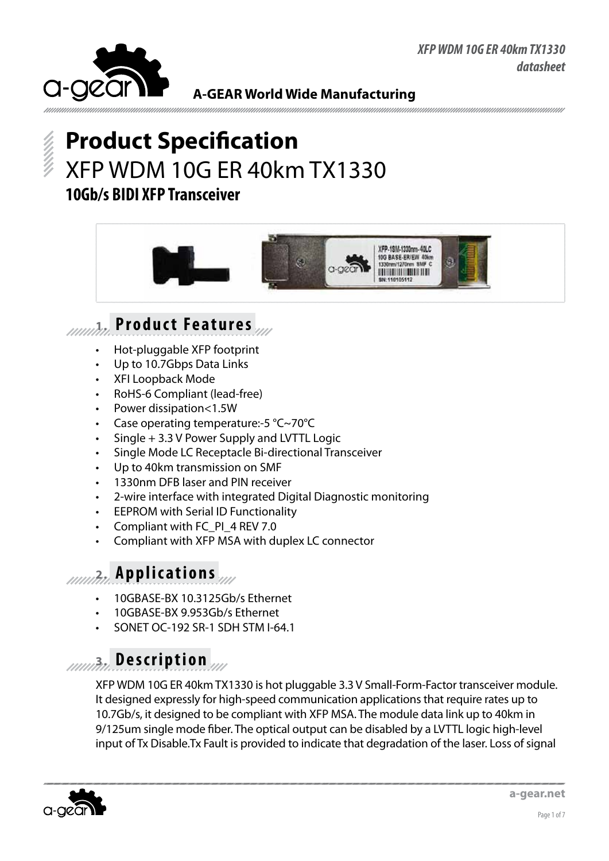

# **Product Specification** XFP WDM 10G ER 40km TX1330 **10Gb/s BIDI XFP Transceiver**



# **1. Product Features**

- Hot-pluggable XFP footprint
- Up to 10.7Gbps Data Links
- **XFI Loopback Mode**
- RoHS-6 Compliant (lead-free)
- Power dissipation<1.5W
- Case operating temperature:-5  $°C$ ~70 $°C$
- $Single + 3.3 V$  Power Supply and LVTTL Logic
- Single Mode LC Receptacle Bi-directional Transceiver
- Up to 40km transmission on SMF
- 1330nm DFB laser and PIN receiver
- 2-wire interface with integrated Digital Diagnostic monitoring
- **EEPROM with Serial ID Functionality**
- Compliant with FC\_PI\_4 REV 7.0
- Compliant with XFP MSA with duplex LC connector

#### **2. Applications**

- 10GBASE-BX 10.3125Gb/s Ethernet
- 10GBASE-BX 9.953Gb/s Ethernet
- SONET OC-192 SR-1 SDH STM I-64.1

## **3. Description**

XFP WDM 10G ER 40km TX1330 is hot pluggable 3.3 V Small-Form-Factor transceiver module. It designed expressly for high-speed communication applications that require rates up to 10.7Gb/s, it designed to be compliant with XFP MSA. The module data link up to 40km in 9/125um single mode fiber. The optical output can be disabled by a LVTTL logic high-level input of Tx Disable.Tx Fault is provided to indicate that degradation of the laser. Loss of signal

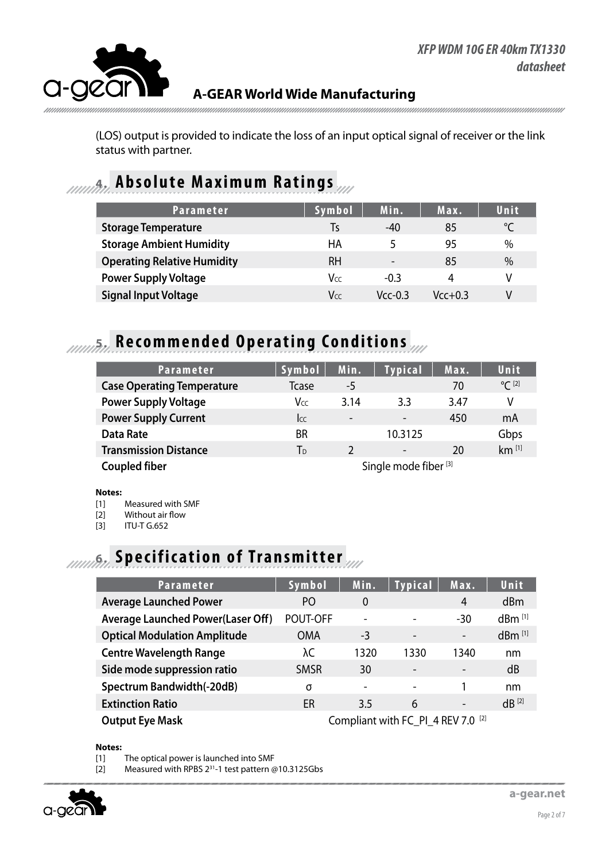

(LOS) output is provided to indicate the loss of an input optical signal of receiver or the link status with partner.

#### **4. Absolute Maximum Ratings**

| <b>Parameter</b>                   | Symbol    | Min.                     | Max.      | Unit |
|------------------------------------|-----------|--------------------------|-----------|------|
| <b>Storage Temperature</b>         | Ts        | -40                      | 85        | °C   |
| <b>Storage Ambient Humidity</b>    | HA        | 5                        | 95        | $\%$ |
| <b>Operating Relative Humidity</b> | <b>RH</b> | $\overline{\phantom{a}}$ | 85        | $\%$ |
| <b>Power Supply Voltage</b>        | Vcc       | $-0.3$                   | 4         | V    |
| <b>Signal Input Voltage</b>        | Vcc       | $Vcc-0.3$                | $Vcc+0.3$ | V    |

# **5. Recommended Operating Conditions**

| <b>Parameter</b>                  | Symbol                           | Min.                     | <b>Typical</b>           | Max. | <b>Unit</b>         |
|-----------------------------------|----------------------------------|--------------------------|--------------------------|------|---------------------|
| <b>Case Operating Temperature</b> | <b>T</b> case                    | -5                       |                          | 70   | $^{\circ}C^{[2]}$   |
| <b>Power Supply Voltage</b>       | <b>V</b> cc                      | 3.14                     | 3.3                      | 3.47 | V                   |
| <b>Power Supply Current</b>       | <b>I</b> cc                      | $\overline{\phantom{0}}$ | $\overline{\phantom{a}}$ | 450  | mA                  |
| <b>Data Rate</b>                  | <b>BR</b>                        |                          | 10.3125                  |      | Gbps                |
| <b>Transmission Distance</b>      | T <sub>D</sub>                   |                          | $\overline{\phantom{a}}$ | 20   | $km$ <sup>[1]</sup> |
| <b>Coupled fiber</b>              | Single mode fiber <sup>[3]</sup> |                          |                          |      |                     |

#### **Notes:**

[1] Measured with SMF

[2] Without air flow

[3] ITU-T G.652

## **6.** *Innufin* Specification of Transmitter

| <b>Parameter</b>                         | Symbol                                        | Min.                     | <b>Typical</b>           | Max.                     | <b>Unit</b>          |
|------------------------------------------|-----------------------------------------------|--------------------------|--------------------------|--------------------------|----------------------|
| <b>Average Launched Power</b>            | P <sub>O</sub>                                | $\Omega$                 |                          | $\overline{4}$           | d <sub>Bm</sub>      |
| <b>Average Launched Power(Laser Off)</b> | POUT-OFF                                      | $\overline{\phantom{0}}$ |                          | $-30$                    | $dBm$ <sup>[1]</sup> |
| <b>Optical Modulation Amplitude</b>      | <b>OMA</b>                                    | -3                       | -                        | $\overline{\phantom{a}}$ | dBm [1]              |
| <b>Centre Wavelength Range</b>           | λC                                            | 1320                     | 1330                     | 1340                     | nm                   |
| Side mode suppression ratio              | <b>SMSR</b>                                   | 30                       |                          | $\overline{\phantom{a}}$ | dB                   |
| Spectrum Bandwidth(-20dB)                | σ                                             | $\overline{\phantom{a}}$ | $\overline{\phantom{0}}$ |                          | nm                   |
| <b>Extinction Ratio</b>                  | ER                                            | 3.5                      | 6                        | $\overline{\phantom{a}}$ | $dB^{[2]}$           |
| <b>Output Eye Mask</b>                   | Compliant with FC_PI_4 REV 7.0 <sup>[2]</sup> |                          |                          |                          |                      |

**Notes:**

[1] The optical power is launched into SMF

[2] Measured with RPBS 2<sup>31</sup>-1 test pattern @10.3125Gbs

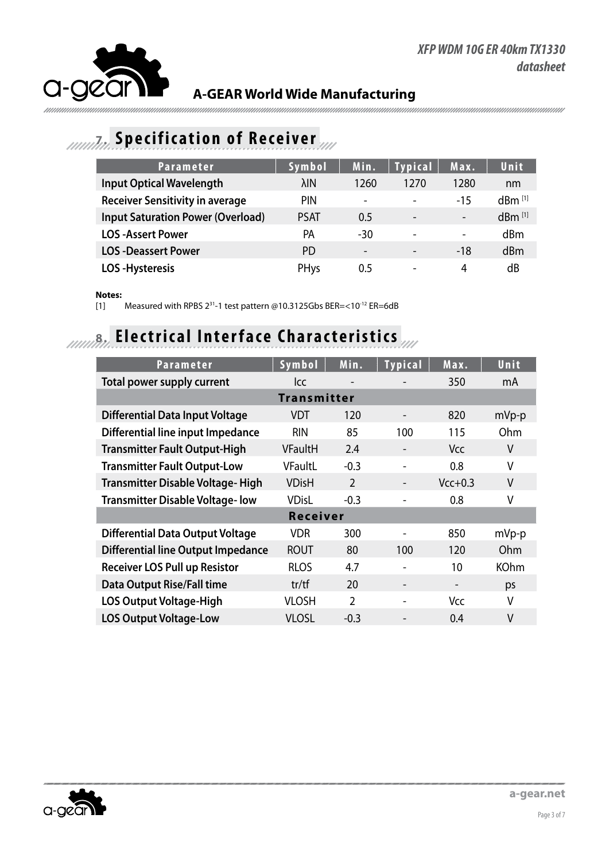

### **7. Specification of Receiver**

| <b>Parameter</b>                         | Symbol      | Min.                     | <b>Typical</b>           | Max.                     | Unit                 |
|------------------------------------------|-------------|--------------------------|--------------------------|--------------------------|----------------------|
| <b>Input Optical Wavelength</b>          | λIΝ         | 1260                     | 1270                     | 1280                     | nm                   |
| <b>Receiver Sensitivity in average</b>   | <b>PIN</b>  | $\overline{\phantom{a}}$ | $\overline{\phantom{0}}$ | $-15$                    | $dBm$ <sup>[1]</sup> |
| <b>Input Saturation Power (Overload)</b> | <b>PSAT</b> | 0.5                      | $\overline{\phantom{a}}$ | $\overline{\phantom{a}}$ | $dBm$ <sup>[1]</sup> |
| <b>LOS-Assert Power</b>                  | РA          | -30                      | $\overline{\phantom{0}}$ | $\overline{\phantom{a}}$ | dBm                  |
| <b>LOS-Deassert Power</b>                | PD.         |                          |                          | $-18$                    | dBm                  |
| <b>LOS-Hysteresis</b>                    | PHys        | 0.5                      | $\overline{\phantom{0}}$ | 4                        | dB                   |

#### **Notes:**

[1] Measured with RPBS 231-1 test pattern @10.3125Gbs BER=<10-12 ER=6dB

## **8. Electrical Interface Characteristics**

| <b>Parameter</b>                          | Symbol             | Min.                     | <b>Typical</b>           | Max.       | Unit        |  |  |  |
|-------------------------------------------|--------------------|--------------------------|--------------------------|------------|-------------|--|--|--|
| <b>Total power supply current</b>         | <b>Icc</b>         | $\overline{\phantom{a}}$ |                          | 350        | mA          |  |  |  |
|                                           | <b>Transmitter</b> |                          |                          |            |             |  |  |  |
| <b>Differential Data Input Voltage</b>    | <b>VDT</b>         | 120                      | $\overline{\phantom{a}}$ | 820        | $mVp-p$     |  |  |  |
| Differential line input Impedance         | <b>RIN</b>         | 85                       | 100                      | 115        | Ohm         |  |  |  |
| <b>Transmitter Fault Output-High</b>      | <b>VFaultH</b>     | 2.4                      | $\overline{\phantom{a}}$ | <b>Vcc</b> | V           |  |  |  |
| <b>Transmitter Fault Output-Low</b>       | VFaultL            | $-0.3$                   |                          | 0.8        | V           |  |  |  |
| <b>Transmitter Disable Voltage-High</b>   | <b>VDisH</b>       | $\overline{2}$           | $\overline{\phantom{a}}$ | $Vcc+0.3$  | V           |  |  |  |
| <b>Transmitter Disable Voltage-low</b>    | <b>VDisL</b>       | $-0.3$                   |                          | 0.8        | V           |  |  |  |
| <b>Receiver</b>                           |                    |                          |                          |            |             |  |  |  |
| <b>Differential Data Output Voltage</b>   | <b>VDR</b>         | 300                      |                          | 850        | mVp-p       |  |  |  |
| <b>Differential line Output Impedance</b> | <b>ROUT</b>        | 80                       | 100                      | 120        | Ohm         |  |  |  |
| <b>Receiver LOS Pull up Resistor</b>      | <b>RLOS</b>        | 4.7                      |                          | 10         | <b>KOhm</b> |  |  |  |
| <b>Data Output Rise/Fall time</b>         | tr/tf              | 20                       | $\overline{\phantom{a}}$ |            | ps          |  |  |  |
| <b>LOS Output Voltage-High</b>            | <b>VLOSH</b>       | $\overline{2}$           |                          | Vcc        | V           |  |  |  |
| <b>LOS Output Voltage-Low</b>             | <b>VLOSL</b>       | $-0.3$                   |                          | 0.4        | V           |  |  |  |

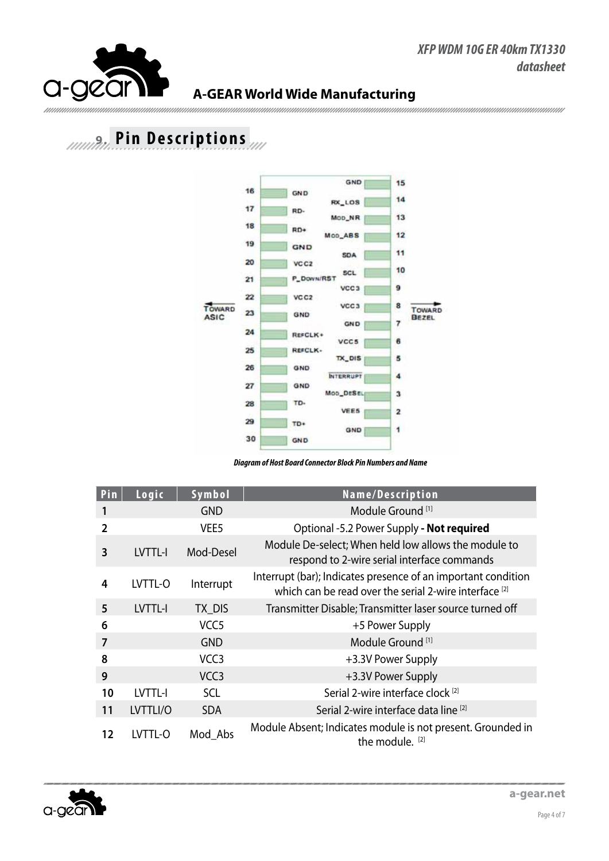

## **9. Pin Descriptions**



*Diagram of Host Board Connector Block Pin Numbers and Name*

| Pin            | Logic    | Symbol           | Name/Description                                                                                                        |
|----------------|----------|------------------|-------------------------------------------------------------------------------------------------------------------------|
|                |          | <b>GND</b>       | Module Ground <sup>[1]</sup>                                                                                            |
| $\overline{2}$ |          | VEE <sub>5</sub> | Optional -5.2 Power Supply - Not required                                                                               |
| 3              | LVTTL-I  | Mod-Desel        | Module De-select; When held low allows the module to<br>respond to 2-wire serial interface commands                     |
| 4              | LVTTL-O  | Interrupt        | Interrupt (bar); Indicates presence of an important condition<br>which can be read over the serial 2-wire interface [2] |
| 5              | LVTTL-I  | TX DIS           | Transmitter Disable; Transmitter laser source turned off                                                                |
| 6              |          | VCC <sub>5</sub> | +5 Power Supply                                                                                                         |
| 7              |          | <b>GND</b>       | Module Ground <sup>[1]</sup>                                                                                            |
| 8              |          | VCC <sub>3</sub> | +3.3V Power Supply                                                                                                      |
| 9              |          | VCC <sub>3</sub> | +3.3V Power Supply                                                                                                      |
| 10             | LVTTL-I  | <b>SCL</b>       | Serial 2-wire interface clock <sup>[2]</sup>                                                                            |
| 11             | LVTTLI/O | <b>SDA</b>       | Serial 2-wire interface data line [2]                                                                                   |
| 12             | LVTTL-O  | Mod Abs          | Module Absent; Indicates module is not present. Grounded in<br>the module. [2]                                          |

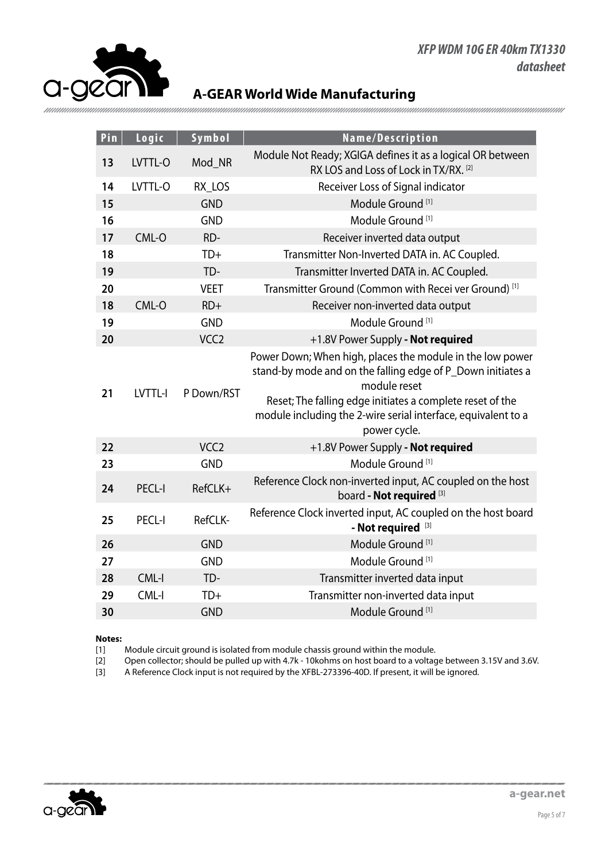#### *XFP WDM 10G ER 40km TX1330 datasheet*



#### **A-GEAR World Wide Manufacturing**

| Pin | Logic         | Symbol           | Name/Description                                                                                                                                                                                                                                                                       |
|-----|---------------|------------------|----------------------------------------------------------------------------------------------------------------------------------------------------------------------------------------------------------------------------------------------------------------------------------------|
| 13  | LVTTL-O       | Mod_NR           | Module Not Ready; XGIGA defines it as a logical OR between<br>RX LOS and Loss of Lock in TX/RX. [2]                                                                                                                                                                                    |
| 14  | LVTTL-O       | RX_LOS           | Receiver Loss of Signal indicator                                                                                                                                                                                                                                                      |
| 15  |               | <b>GND</b>       | Module Ground <sup>[1]</sup>                                                                                                                                                                                                                                                           |
| 16  |               | <b>GND</b>       | Module Ground <sup>[1]</sup>                                                                                                                                                                                                                                                           |
| 17  | CML-O         | RD-              | Receiver inverted data output                                                                                                                                                                                                                                                          |
| 18  |               | $TD+$            | Transmitter Non-Inverted DATA in. AC Coupled.                                                                                                                                                                                                                                          |
| 19  |               | TD-              | Transmitter Inverted DATA in. AC Coupled.                                                                                                                                                                                                                                              |
| 20  |               | <b>VEET</b>      | Transmitter Ground (Common with Recei ver Ground) [1]                                                                                                                                                                                                                                  |
| 18  | CML-O         | $RD+$            | Receiver non-inverted data output                                                                                                                                                                                                                                                      |
| 19  |               | <b>GND</b>       | Module Ground <sup>[1]</sup>                                                                                                                                                                                                                                                           |
| 20  |               | VCC <sub>2</sub> | +1.8V Power Supply - Not required                                                                                                                                                                                                                                                      |
| 21  | LVTTL-I       | P Down/RST       | Power Down; When high, places the module in the low power<br>stand-by mode and on the falling edge of P_Down initiates a<br>module reset<br>Reset; The falling edge initiates a complete reset of the<br>module including the 2-wire serial interface, equivalent to a<br>power cycle. |
| 22  |               | VCC <sub>2</sub> | +1.8V Power Supply - Not required                                                                                                                                                                                                                                                      |
| 23  |               | <b>GND</b>       | Module Ground <sup>[1]</sup>                                                                                                                                                                                                                                                           |
| 24  | <b>PECL-I</b> | RefCLK+          | Reference Clock non-inverted input, AC coupled on the host<br>board - Not required <sup>[3]</sup>                                                                                                                                                                                      |
| 25  | <b>PECL-I</b> | RefCLK-          | Reference Clock inverted input, AC coupled on the host board<br>- Not required [3]                                                                                                                                                                                                     |
| 26  |               | <b>GND</b>       | Module Ground <sup>[1]</sup>                                                                                                                                                                                                                                                           |
| 27  |               | <b>GND</b>       | Module Ground <sup>[1]</sup>                                                                                                                                                                                                                                                           |
| 28  | $CML-I$       | TD-              | Transmitter inverted data input                                                                                                                                                                                                                                                        |
| 29  | CML-I         | $TD+$            | Transmitter non-inverted data input                                                                                                                                                                                                                                                    |
| 30  |               | <b>GND</b>       | Module Ground <sup>[1]</sup>                                                                                                                                                                                                                                                           |

#### **Notes:**

[1] Module circuit ground is isolated from module chassis ground within the module.<br>[2] Open collector; should be pulled up with 4.7k - 10kohms on host board to a voltag Open collector; should be pulled up with 4.7k - 10kohms on host board to a voltage between 3.15V and 3.6V.

[3] A Reference Clock input is not required by the XFBL-273396-40D. If present, it will be ignored.

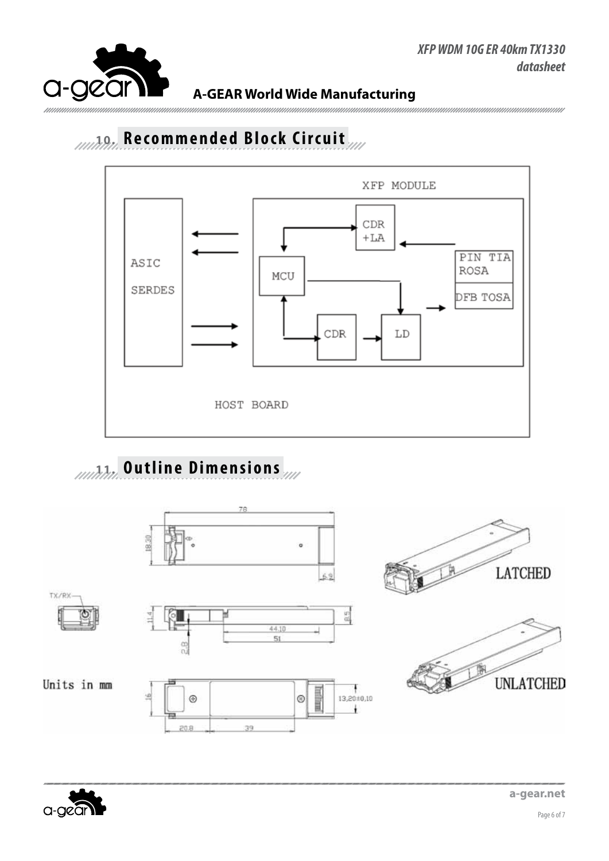

# 10.10. Recommended Block Circuit



# **11. Outline Dimensions**